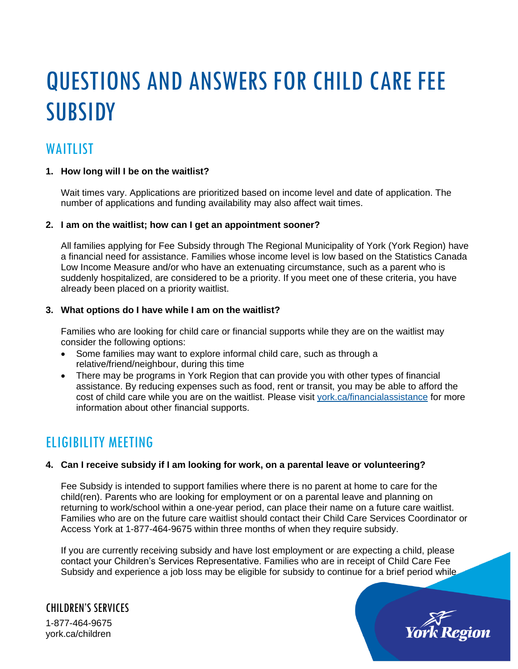# QUESTIONS AND ANSWERS FOR CHILD CARE FEE **SUBSIDY**

# WAITLIST

# **1. How long will I be on the waitlist?**

Wait times vary. Applications are prioritized based on income level and date of application. The number of applications and funding availability may also affect wait times.

# **2. I am on the waitlist; how can I get an appointment sooner?**

All families applying for Fee Subsidy through The Regional Municipality of York (York Region) have a financial need for assistance. Families whose income level is low based on the Statistics Canada Low Income Measure and/or who have an extenuating circumstance, such as a parent who is suddenly hospitalized, are considered to be a priority. If you meet one of these criteria, you have already been placed on a priority waitlist.

# **3. What options do I have while I am on the waitlist?**

Families who are looking for child care or financial supports while they are on the waitlist may consider the following options:

- Some families may want to explore informal child care, such as through a relative/friend/neighbour, during this time
- There may be programs in York Region that can provide you with other types of financial assistance. By reducing expenses such as food, rent or transit, you may be able to afford the cost of child care while you are on the waitlist. Please visit [york.ca/financialassistance](http://www.york.ca/financialassistance) for more information about other financial supports.

# ELIGIBILITY MEETING

# **4. Can I receive subsidy if I am looking for work, on a parental leave or volunteering?**

Fee Subsidy is intended to support families where there is no parent at home to care for the child(ren). Parents who are looking for employment or on a parental leave and planning on returning to work/school within a one-year period, can place their name on a future care waitlist. Families who are on the future care waitlist should contact their Child Care Services Coordinator or Access York at 1-877-464-9675 within three months of when they require subsidy.

If you are currently receiving subsidy and have lost employment or are expecting a child, please contact your Children's Services Representative. Families who are in receipt of Child Care Fee Subsidy and experience a job loss may be eligible for subsidy to continue for a brief period while.

CHILDREN'S SERVICES 1-877-464-9675 york.ca/children

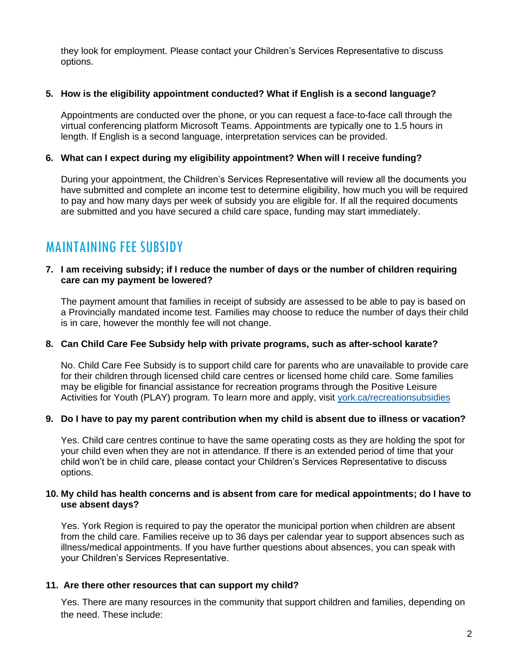they look for employment. Please contact your Children's Services Representative to discuss options.

# **5. How is the eligibility appointment conducted? What if English is a second language?**

Appointments are conducted over the phone, or you can request a face-to-face call through the virtual conferencing platform Microsoft Teams. Appointments are typically one to 1.5 hours in length. If English is a second language, interpretation services can be provided.

# **6. What can I expect during my eligibility appointment? When will I receive funding?**

During your appointment, the Children's Services Representative will review all the documents you have submitted and complete an income test to determine eligibility, how much you will be required to pay and how many days per week of subsidy you are eligible for. If all the required documents are submitted and you have secured a child care space, funding may start immediately.

# MAINTAINING FEE SUBSIDY

#### **7. I am receiving subsidy; if I reduce the number of days or the number of children requiring care can my payment be lowered?**

The payment amount that families in receipt of subsidy are assessed to be able to pay is based on a Provincially mandated income test. Families may choose to reduce the number of days their child is in care, however the monthly fee will not change.

# **8. Can Child Care Fee Subsidy help with private programs, such as after-school karate?**

No. Child Care Fee Subsidy is to support child care for parents who are unavailable to provide care for their children through licensed child care centres or licensed home child care. Some families may be eligible for financial assistance for recreation programs through the Positive Leisure Activities for Youth (PLAY) program. To learn more and apply, visit [york.ca/recreationsubsidies](https://www.york.ca/wps/portal/yorkhome/support/yr/childrensservices/recreationsubsidies/)

# **9. Do I have to pay my parent contribution when my child is absent due to illness or vacation?**

Yes. Child care centres continue to have the same operating costs as they are holding the spot for your child even when they are not in attendance. If there is an extended period of time that your child won't be in child care, please contact your Children's Services Representative to discuss options.

#### **10. My child has health concerns and is absent from care for medical appointments; do I have to use absent days?**

Yes. York Region is required to pay the operator the municipal portion when children are absent from the child care. Families receive up to 36 days per calendar year to support absences such as illness/medical appointments. If you have further questions about absences, you can speak with your Children's Services Representative.

# **11. Are there other resources that can support my child?**

Yes. There are many resources in the community that support children and families, depending on the need. These include: